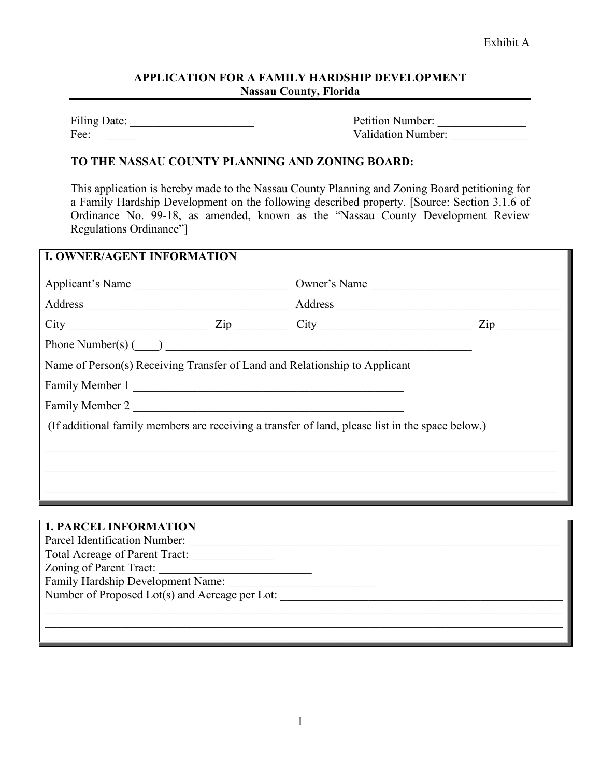## **APPLICATION FOR A FAMILY HARDSHIP DEVELOPMENT Nassau County, Florida**

Filing Date: \_\_\_\_\_\_\_\_\_\_\_\_\_\_\_\_\_\_\_\_\_ Petition Number: \_\_\_\_\_\_\_\_\_\_\_\_\_\_\_ Fee: The Community of the Validation Number:

## **TO THE NASSAU COUNTY PLANNING AND ZONING BOARD:**

This application is hereby made to the Nassau County Planning and Zoning Board petitioning for a Family Hardship Development on the following described property. [Source: Section 3.1.6 of Ordinance No. 99-18, as amended, known as the "Nassau County Development Review Regulations Ordinance"]

| Applicant's Name | Owner's Name                                                                                     |                     |
|------------------|--------------------------------------------------------------------------------------------------|---------------------|
|                  |                                                                                                  |                     |
|                  | $City$ $Zip$ $Zip$ $City$                                                                        | $\mathsf{Zip} \_\_$ |
|                  | Phone Number(s) $\qquad)$                                                                        |                     |
|                  | Name of Person(s) Receiving Transfer of Land and Relationship to Applicant                       |                     |
|                  | Family Member 1                                                                                  |                     |
|                  | Family Member 2                                                                                  |                     |
|                  | (If additional family members are receiving a transfer of land, please list in the space below.) |                     |
|                  |                                                                                                  |                     |
|                  |                                                                                                  |                     |
|                  |                                                                                                  |                     |

### **1. PARCEL INFORMATION**

| Parcel Identification Number:                  |
|------------------------------------------------|
| Total Acreage of Parent Tract:                 |
| Zoning of Parent Tract:                        |
| Family Hardship Development Name:              |
| Number of Proposed Lot(s) and Acreage per Lot: |
|                                                |
|                                                |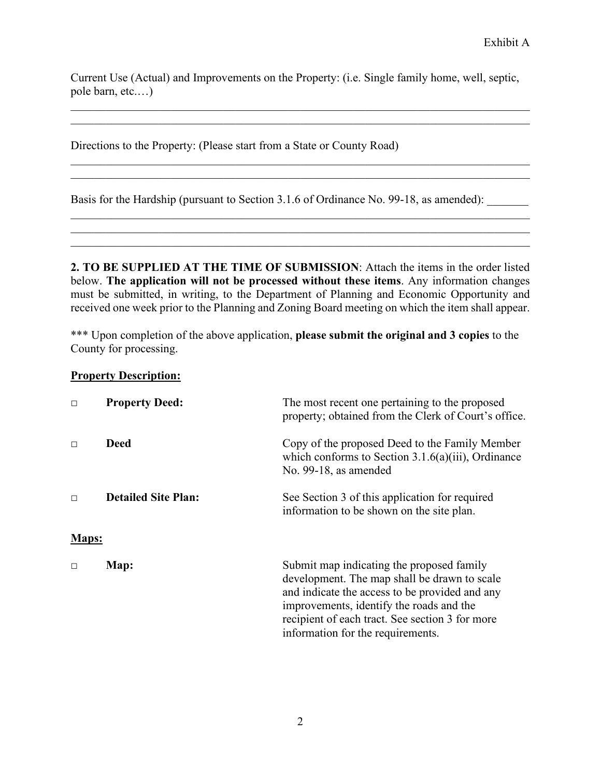Current Use (Actual) and Improvements on the Property: (i.e. Single family home, well, septic, pole barn, etc.…)

\_\_\_\_\_\_\_\_\_\_\_\_\_\_\_\_\_\_\_\_\_\_\_\_\_\_\_\_\_\_\_\_\_\_\_\_\_\_\_\_\_\_\_\_\_\_\_\_\_\_\_\_\_\_\_\_\_\_\_\_\_\_\_\_\_\_\_\_\_\_\_\_\_\_\_\_\_\_

 $\_$  , and the set of the set of the set of the set of the set of the set of the set of the set of the set of the set of the set of the set of the set of the set of the set of the set of the set of the set of the set of th

\_\_\_\_\_\_\_\_\_\_\_\_\_\_\_\_\_\_\_\_\_\_\_\_\_\_\_\_\_\_\_\_\_\_\_\_\_\_\_\_\_\_\_\_\_\_\_\_\_\_\_\_\_\_\_\_\_\_\_\_\_\_\_\_\_\_\_\_\_\_\_\_\_\_\_\_\_\_

Directions to the Property: (Please start from a State or County Road)

Basis for the Hardship (pursuant to Section 3.1.6 of Ordinance No. 99-18, as amended):

**2. TO BE SUPPLIED AT THE TIME OF SUBMISSION**: Attach the items in the order listed below. **The application will not be processed without these items**. Any information changes must be submitted, in writing, to the Department of Planning and Economic Opportunity and received one week prior to the Planning and Zoning Board meeting on which the item shall appear.

 $\_$  , and the set of the set of the set of the set of the set of the set of the set of the set of the set of the set of the set of the set of the set of the set of the set of the set of the set of the set of the set of th

\*\*\* Upon completion of the above application, **please submit the original and 3 copies** to the County for processing.

## **Property Description:**

| $\Box$ | <b>Property Deed:</b>      | The most recent one pertaining to the proposed<br>property; obtained from the Clerk of Court's office.                                                                                                                                                                          |
|--------|----------------------------|---------------------------------------------------------------------------------------------------------------------------------------------------------------------------------------------------------------------------------------------------------------------------------|
| $\Box$ | Deed                       | Copy of the proposed Deed to the Family Member<br>which conforms to Section $3.1.6(a)(iii)$ , Ordinance<br>No. 99-18, as amended                                                                                                                                                |
| $\Box$ | <b>Detailed Site Plan:</b> | See Section 3 of this application for required<br>information to be shown on the site plan.                                                                                                                                                                                     |
| Maps:  |                            |                                                                                                                                                                                                                                                                                 |
| $\Box$ | Map:                       | Submit map indicating the proposed family<br>development. The map shall be drawn to scale<br>and indicate the access to be provided and any<br>improvements, identify the roads and the<br>recipient of each tract. See section 3 for more<br>information for the requirements. |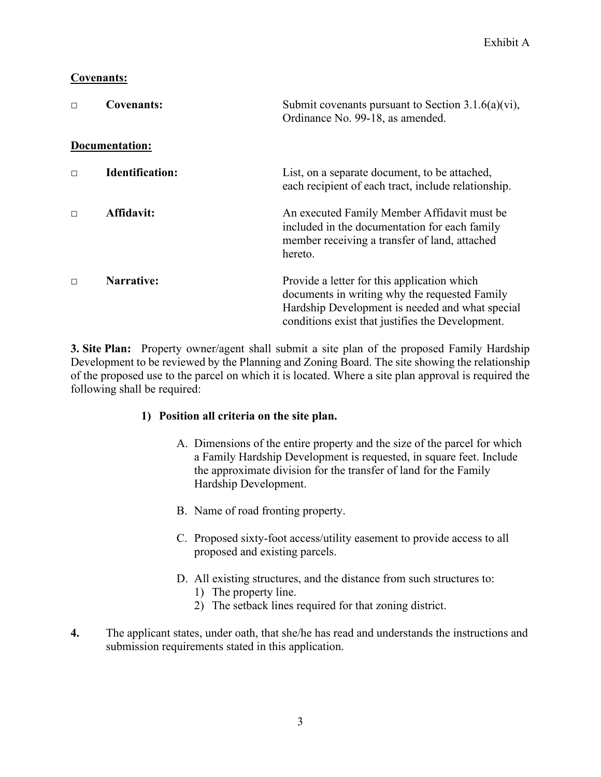# **Covenants:**

| $\Box$ | <b>Covenants:</b>      | Submit covenants pursuant to Section $3.1.6(a)(vi)$ ,<br>Ordinance No. 99-18, as amended.                                                                                                           |
|--------|------------------------|-----------------------------------------------------------------------------------------------------------------------------------------------------------------------------------------------------|
|        | Documentation:         |                                                                                                                                                                                                     |
| $\Box$ | <b>Identification:</b> | List, on a separate document, to be attached,<br>each recipient of each tract, include relationship.                                                                                                |
| $\Box$ | Affidavit:             | An executed Family Member Affidavit must be<br>included in the documentation for each family<br>member receiving a transfer of land, attached<br>hereto.                                            |
| $\Box$ | Narrative:             | Provide a letter for this application which<br>documents in writing why the requested Family<br>Hardship Development is needed and what special<br>conditions exist that justifies the Development. |

**3. Site Plan:** Property owner/agent shall submit a site plan of the proposed Family Hardship Development to be reviewed by the Planning and Zoning Board. The site showing the relationship of the proposed use to the parcel on which it is located. Where a site plan approval is required the following shall be required:

# **1) Position all criteria on the site plan.**

- A. Dimensions of the entire property and the size of the parcel for which a Family Hardship Development is requested, in square feet. Include the approximate division for the transfer of land for the Family Hardship Development.
- B. Name of road fronting property.
- C. Proposed sixty-foot access/utility easement to provide access to all proposed and existing parcels.
- D. All existing structures, and the distance from such structures to:
	- 1) The property line.
	- 2) The setback lines required for that zoning district.
- **4.** The applicant states, under oath, that she/he has read and understands the instructions and submission requirements stated in this application.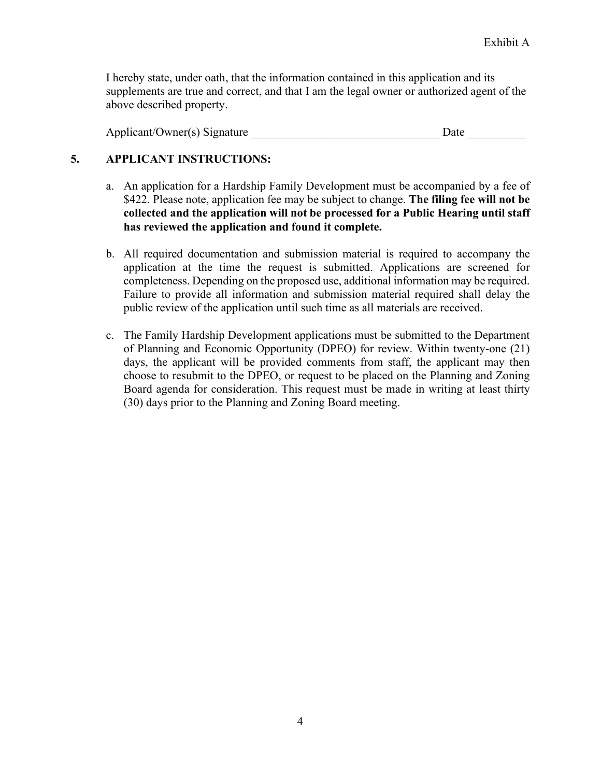I hereby state, under oath, that the information contained in this application and its supplements are true and correct, and that I am the legal owner or authorized agent of the above described property.

Applicant/Owner(s) Signature **Date** Date

# **5. APPLICANT INSTRUCTIONS:**

- a. An application for a Hardship Family Development must be accompanied by a fee of \$422. Please note, application fee may be subject to change. **The filing fee will not be collected and the application will not be processed for a Public Hearing until staff has reviewed the application and found it complete.**
- b. All required documentation and submission material is required to accompany the application at the time the request is submitted. Applications are screened for completeness. Depending on the proposed use, additional information may be required. Failure to provide all information and submission material required shall delay the public review of the application until such time as all materials are received.
- c. The Family Hardship Development applications must be submitted to the Department of Planning and Economic Opportunity (DPEO) for review. Within twenty-one (21) days, the applicant will be provided comments from staff, the applicant may then choose to resubmit to the DPEO, or request to be placed on the Planning and Zoning Board agenda for consideration. This request must be made in writing at least thirty (30) days prior to the Planning and Zoning Board meeting.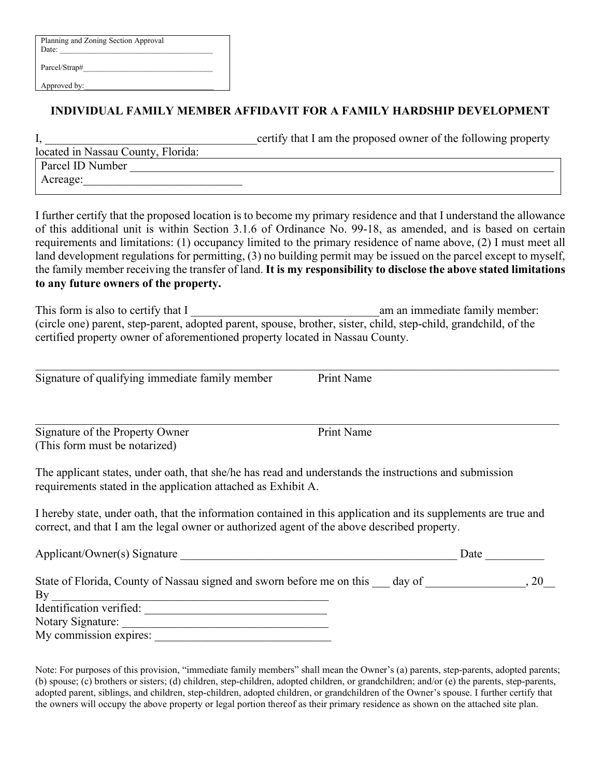| Planning and Zoning Section Approval<br>Date: |  |
|-----------------------------------------------|--|
| Parcel/Strap#                                 |  |

Approved by:

# **INDIVIDUAL FAMILY MEMBER AFFIDAVIT FOR A FAMILY HARDSHIP DEVELOPMENT**

|                                    | certify that I am the proposed owner of the following property |
|------------------------------------|----------------------------------------------------------------|
| located in Nassau County, Florida: |                                                                |
| Parcel ID Number                   |                                                                |
| Acreage:                           |                                                                |
|                                    |                                                                |

I further certify that the proposed location is to become my primary residence and that I understand the allowance of this additional unit is within Section 3.1.6 of Ordinance No. 99-18, as amended, and is based on certain requirements and limitations: (1) occupancy limited to the primary residence of name above, (2) I must meet all land development regulations for permitting, (3) no building permit may be issued on the parcel except to myself, the family member receiving the transfer of land. **It is my responsibility to disclose the above stated limitations to any future owners of the property.**

This form is also to certify that I contained a general containing am an immediate family member: (circle one) parent, step-parent, adopted parent, spouse, brother, sister, child, step-child, grandchild, of the certified property owner of aforementioned property located in Nassau County.

\_\_\_\_\_\_\_\_\_\_\_\_\_\_\_\_\_\_\_\_\_\_\_\_\_\_\_\_\_\_\_\_\_\_\_\_\_\_\_\_\_\_\_\_\_\_\_\_\_\_\_\_\_\_\_\_\_\_\_\_\_\_\_\_\_\_\_\_\_\_\_\_\_\_\_\_\_\_\_\_\_\_\_\_\_\_\_\_\_ Signature of qualifying immediate family member Print Name

\_\_\_\_\_\_\_\_\_\_\_\_\_\_\_\_\_\_\_\_\_\_\_\_\_\_\_\_\_\_\_\_\_\_\_\_\_\_\_\_\_\_\_\_\_\_\_\_\_\_\_\_\_\_\_\_\_\_\_\_\_\_\_\_\_\_\_\_\_\_\_\_\_\_\_\_\_\_\_\_\_\_\_\_\_\_\_\_\_ Signature of the Property Owner Print Name (This form must be notarized)

The applicant states, under oath, that she/he has read and understands the instructions and submission requirements stated in the application attached as Exhibit A.

I hereby state, under oath, that the information contained in this application and its supplements are true and correct, and that I am the legal owner or authorized agent of the above described property.

| Applicant/Owner(s) Signature                                                    | Date |
|---------------------------------------------------------------------------------|------|
| State of Florida, County of Nassau signed and sworn before me on this<br>day of |      |
| Bv                                                                              |      |
| Identification verified:                                                        |      |
| Notary Signature:                                                               |      |
| My commission expires:                                                          |      |

Note: For purposes of this provision, "immediate family members" shall mean the Owner's (a) parents, step-parents, adopted parents; (b) spouse; (c) brothers or sisters; (d) children, step-children, adopted children, or grandchildren; and/or (e) the parents, step-parents, adopted parent, siblings, and children, step-children, adopted children, or grandchildren of the Owner's spouse. I further certify that the owners will occupy the above property or legal portion thereof as their primary residence as shown on the attached site plan.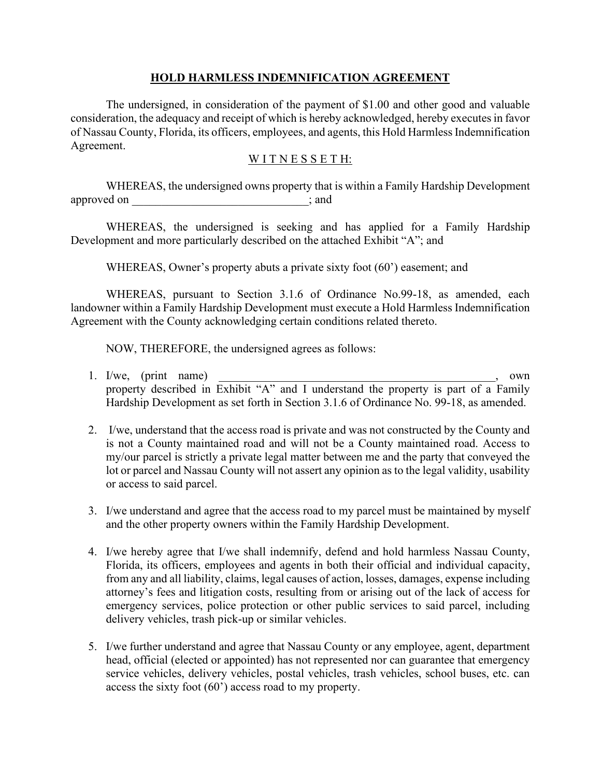### **HOLD HARMLESS INDEMNIFICATION AGREEMENT**

The undersigned, in consideration of the payment of \$1.00 and other good and valuable consideration, the adequacy and receipt of which is hereby acknowledged, hereby executes in favor of Nassau County, Florida, its officers, employees, and agents, this Hold Harmless Indemnification Agreement.

#### WITNESSETH:

WHEREAS, the undersigned owns property that is within a Family Hardship Development approved on  $\Box$ ; and

WHEREAS, the undersigned is seeking and has applied for a Family Hardship Development and more particularly described on the attached Exhibit "A"; and

WHEREAS, Owner's property abuts a private sixty foot (60<sup>o</sup>) easement; and

WHEREAS, pursuant to Section 3.1.6 of Ordinance No.99-18, as amended, each landowner within a Family Hardship Development must execute a Hold Harmless Indemnification Agreement with the County acknowledging certain conditions related thereto.

NOW, THEREFORE, the undersigned agrees as follows:

- 1. I/we, (print name)  $\blacksquare$ property described in Exhibit "A" and I understand the property is part of a Family Hardship Development as set forth in Section 3.1.6 of Ordinance No. 99-18, as amended.
- 2. I/we, understand that the access road is private and was not constructed by the County and is not a County maintained road and will not be a County maintained road. Access to my/our parcel is strictly a private legal matter between me and the party that conveyed the lot or parcel and Nassau County will not assert any opinion as to the legal validity, usability or access to said parcel.
- 3. I/we understand and agree that the access road to my parcel must be maintained by myself and the other property owners within the Family Hardship Development.
- 4. I/we hereby agree that I/we shall indemnify, defend and hold harmless Nassau County, Florida, its officers, employees and agents in both their official and individual capacity, from any and all liability, claims, legal causes of action, losses, damages, expense including attorney's fees and litigation costs, resulting from or arising out of the lack of access for emergency services, police protection or other public services to said parcel, including delivery vehicles, trash pick-up or similar vehicles.
- 5. I/we further understand and agree that Nassau County or any employee, agent, department head, official (elected or appointed) has not represented nor can guarantee that emergency service vehicles, delivery vehicles, postal vehicles, trash vehicles, school buses, etc. can access the sixty foot (60') access road to my property.